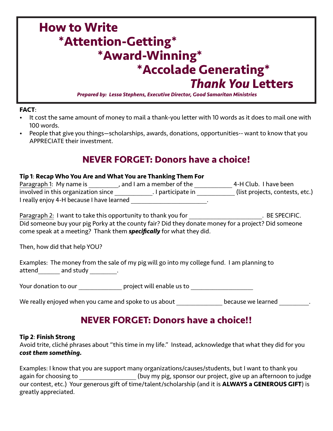# **How to Write \*Attention-Getting\* \*Award-Winning\* \*Accolade Generating\***  *Thank You* **Letters**

*Prepared by: Lessa Stephens, Executive Director, Good Samaritan Ministries*

#### **FACT**:

- It cost the same amount of money to mail a thank-you letter with 10 words as it does to mail one with 100 words.
- People that give you things—scholarships, awards, donations, opportunities-- want to know that you APPRECIATE their investment.

### **NEVER FORGET: Donors have a choice!**

#### **Tip 1**: **Recap Who You Are and What You are Thanking Them For**

| Paragraph 1: My name is                   | and I am a member of the | 4-H Club. I have been           |  |
|-------------------------------------------|--------------------------|---------------------------------|--|
| involved in this organization since       | . I participate in       | (list projects, contests, etc.) |  |
| I really enjoy 4-H because I have learned |                          |                                 |  |

Paragraph 2: I want to take this opportunity to thank you for Theorem 2: BE SPECIFIC. Did someone buy your pig Porky at the county fair? Did they donate money for a project? Did someone come speak at a meeting? Thank them *specifically* for what they did.

Then, how did that help YOU?

|        |           | Examples: The money from the sale of my pig will go into my college fund. I am planning to |  |
|--------|-----------|--------------------------------------------------------------------------------------------|--|
| attend | and study |                                                                                            |  |

Your donation to our \_\_\_\_\_\_\_\_\_\_\_\_\_\_\_\_ project will enable us to \_\_\_\_\_\_\_\_\_\_\_\_\_\_\_\_

We really enjoyed when you came and spoke to us about \_\_\_\_\_\_\_\_\_\_\_\_\_\_\_\_\_ because we learned \_\_\_\_\_\_\_\_\_\_\_.

# **NEVER FORGET: Donors have a choice!!**

#### **Tip 2**: **Finish Strong**

Avoid trite, cliché phrases about "this time in my life." Instead, acknowledge that what they did for you *cost them something.*

Examples: I know that you are support many organizations/causes/students, but I want to thank you again for choosing to **come state of the set of the system** (buy my pig, sponsor our project, give up an afternoon to judge our contest, etc.) Your generous gift of time/talent/scholarship (and it is **ALWAYS a GENEROUS GIFT**) is greatly appreciated.